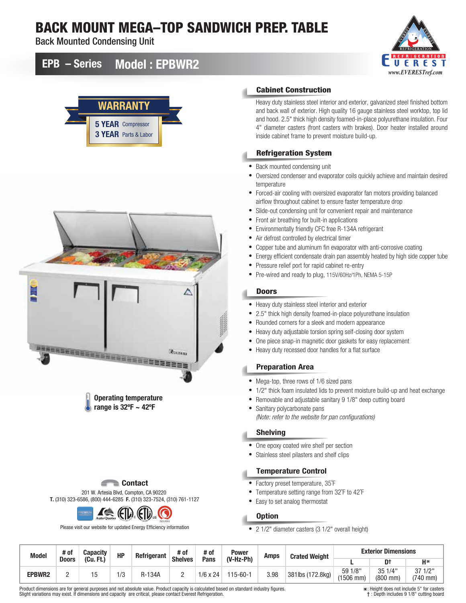# BACK MOUNT MEGA–TOP SANDWICH PREP. TABLE

Back Mounted Condensing Unit



## EPB – Series Model : EPBWR2





Operating temperature range is 32ºF ~ 42ºF

#### **E** Contact

201 W. Artesia Blvd, Compton, CA 90220 T. (310) 323-6586, (800) 444-6285 F. (310) 323-7524, (310) 761-1127



Please visit our website for updated Energy Efficiency information

#### Cabinet Construction

Heavy duty stainless steel interior and exterior, galvanized steel finished bottom and back wall of exterior. High quality 16 gauge stainless steel worktop, top lid and hood. 2.5" thick high density foamed-in-place polyurethane insulation. Four 4" diameter casters (front casters with brakes). Door heater installed around inside cabinet frame to prevent moisture build-up.

#### Refrigeration System

- Back mounted condensing unit
- Oversized condenser and evaporator coils quickly achieve and maintain desired temperature
- Forced-air cooling with oversized evaporator fan motors providing balanced airflow throughout cabinet to ensure faster temperature drop
- Slide-out condensing unit for convenient repair and maintenance
- Front air breathing for built-in applications
- Environmentally friendly CFC free R-134A refrigerant
- Air defrost controlled by electrical timer
- Copper tube and aluminum fin evaporator with anti-corrosive coating
- Energy efficient condensate drain pan assembly heated by high side copper tube
- Pressure relief port for rapid cabinet re-entry
- Pre-wired and ready to plug, 115V/60Hz/1Ph, NEMA 5-15P

#### **Doors**

- Heavy duty stainless steel interior and exterior
- 2.5" thick high density foamed-in-place polyurethane insulation
- Rounded corners for a sleek and modern appearance
- Heavy duty adjustable torsion spring self-closing door system
- One piece snap-in magnetic door gaskets for easy replacement
- Heavy duty recessed door handles for a flat surface

#### Preparation Area

- Mega-top, three rows of 1/6 sized pans
- 1/2" thick foam insulated lids to prevent moisture build-up and heat exchange
- Removable and adjustable sanitary 9 1/8" deep cutting board
- Sanitary polycarbonate pans *(Note: refer to the website for pan configurations)*

#### Shelving

- One epoxy coated wire shelf per section
- Stainless steel pilasters and shelf clips

#### Temperature Control

- Factory preset temperature, 35˚F
- Temperature setting range from 32˚F to 42˚F
- Easy to set analog thermostat

#### **Option**

• 2 1/2" diameter casters (3 1/2" overall height)

| <b>Model</b>  | # of         | <b>Capacity</b> | HP | Refrigerant | # of           | # of            | Power          | <b>Amps</b> | <b>Crated Weight</b> | <b>Exterior Dimensions</b>    |                      |                             |
|---------------|--------------|-----------------|----|-------------|----------------|-----------------|----------------|-------------|----------------------|-------------------------------|----------------------|-----------------------------|
|               | <b>Doors</b> | (Cu, Ft.)       |    |             | <b>Shelves</b> | Pans            | (V-Hz-Ph)      |             |                      |                               |                      | $H*$                        |
| <b>EPBWR2</b> |              |                 | /3 | 134A        | -              | $1/6 \times 24$ | $115 - 60 - 1$ | 3.98        | 381lbs (172.8kg)     | 591/8"<br>$(1506 \text{ mm})$ | 35 1/4"<br>$(800$ mm | $1/2$ "<br>37<br>$(740$ mm) |

Product dimensions are for general purposes and not absolute value. Product capacity is calculated based on standard industry figures. Slight variations may exist. If dimensions and capacity are critical, please contact Everest Refrigeration.

: Height does not include 5" for casters † : Depth includes 9 1/8" cutting board